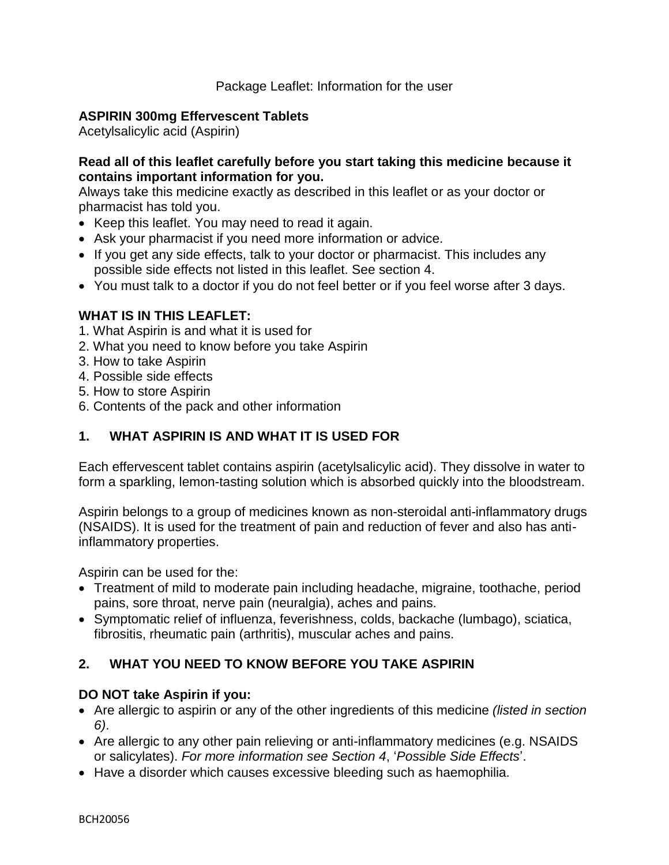## **ASPIRIN 300mg Effervescent Tablets**

Acetylsalicylic acid (Aspirin)

## **Read all of this leaflet carefully before you start taking this medicine because it contains important information for you.**

Always take this medicine exactly as described in this leaflet or as your doctor or pharmacist has told you.

- Keep this leaflet. You may need to read it again.
- Ask your pharmacist if you need more information or advice.
- If you get any side effects, talk to your doctor or pharmacist. This includes any possible side effects not listed in this leaflet. See section 4.
- You must talk to a doctor if you do not feel better or if you feel worse after 3 days.

# **WHAT IS IN THIS LEAFLET:**

- 1. What Aspirin is and what it is used for
- 2. What you need to know before you take Aspirin
- 3. How to take Aspirin
- 4. Possible side effects
- 5. How to store Aspirin
- 6. Contents of the pack and other information

# **1. WHAT ASPIRIN IS AND WHAT IT IS USED FOR**

Each effervescent tablet contains aspirin (acetylsalicylic acid). They dissolve in water to form a sparkling, lemon-tasting solution which is absorbed quickly into the bloodstream.

Aspirin belongs to a group of medicines known as non-steroidal anti-inflammatory drugs (NSAIDS). It is used for the treatment of pain and reduction of fever and also has antiinflammatory properties.

Aspirin can be used for the:

- Treatment of mild to moderate pain including headache, migraine, toothache, period pains, sore throat, nerve pain (neuralgia), aches and pains.
- Symptomatic relief of influenza, feverishness, colds, backache (lumbago), sciatica, fibrositis, rheumatic pain (arthritis), muscular aches and pains.

# **2. WHAT YOU NEED TO KNOW BEFORE YOU TAKE ASPIRIN**

## **DO NOT take Aspirin if you:**

- Are allergic to aspirin or any of the other ingredients of this medicine *(listed in section 6)*.
- Are allergic to any other pain relieving or anti-inflammatory medicines (e.g. NSAIDS or salicylates). *For more information see Section 4*, '*Possible Side Effects*'.
- Have a disorder which causes excessive bleeding such as haemophilia.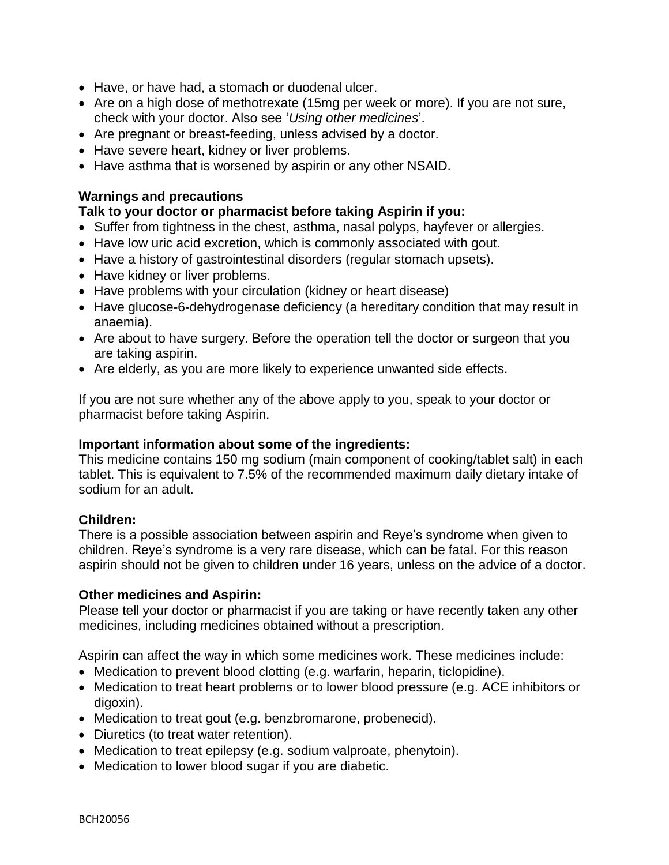- Have, or have had, a stomach or duodenal ulcer.
- Are on a high dose of methotrexate (15mg per week or more). If you are not sure, check with your doctor. Also see '*Using other medicines*'.
- Are pregnant or breast-feeding, unless advised by a doctor.
- Have severe heart, kidney or liver problems.
- Have asthma that is worsened by aspirin or any other NSAID.

#### **Warnings and precautions**

### **Talk to your doctor or pharmacist before taking Aspirin if you:**

- Suffer from tightness in the chest, asthma, nasal polyps, hayfever or allergies.
- Have low uric acid excretion, which is commonly associated with gout.
- Have a history of gastrointestinal disorders (regular stomach upsets).
- Have kidney or liver problems.
- Have problems with your circulation (kidney or heart disease)
- Have glucose-6-dehydrogenase deficiency (a hereditary condition that may result in anaemia).
- Are about to have surgery. Before the operation tell the doctor or surgeon that you are taking aspirin.
- Are elderly, as you are more likely to experience unwanted side effects.

If you are not sure whether any of the above apply to you, speak to your doctor or pharmacist before taking Aspirin.

#### **Important information about some of the ingredients:**

This medicine contains 150 mg sodium (main component of cooking/tablet salt) in each tablet. This is equivalent to 7.5% of the recommended maximum daily dietary intake of sodium for an adult.

#### **Children:**

There is a possible association between aspirin and Reye's syndrome when given to children. Reye's syndrome is a very rare disease, which can be fatal. For this reason aspirin should not be given to children under 16 years, unless on the advice of a doctor.

#### **Other medicines and Aspirin:**

Please tell your doctor or pharmacist if you are taking or have recently taken any other medicines, including medicines obtained without a prescription.

Aspirin can affect the way in which some medicines work. These medicines include:

- Medication to prevent blood clotting (e.g. warfarin, heparin, ticlopidine).
- Medication to treat heart problems or to lower blood pressure (e.g. ACE inhibitors or digoxin).
- Medication to treat gout (e.g. benzbromarone, probenecid).
- Diuretics (to treat water retention).
- Medication to treat epilepsy (e.g. sodium valproate, phenytoin).
- Medication to lower blood sugar if you are diabetic.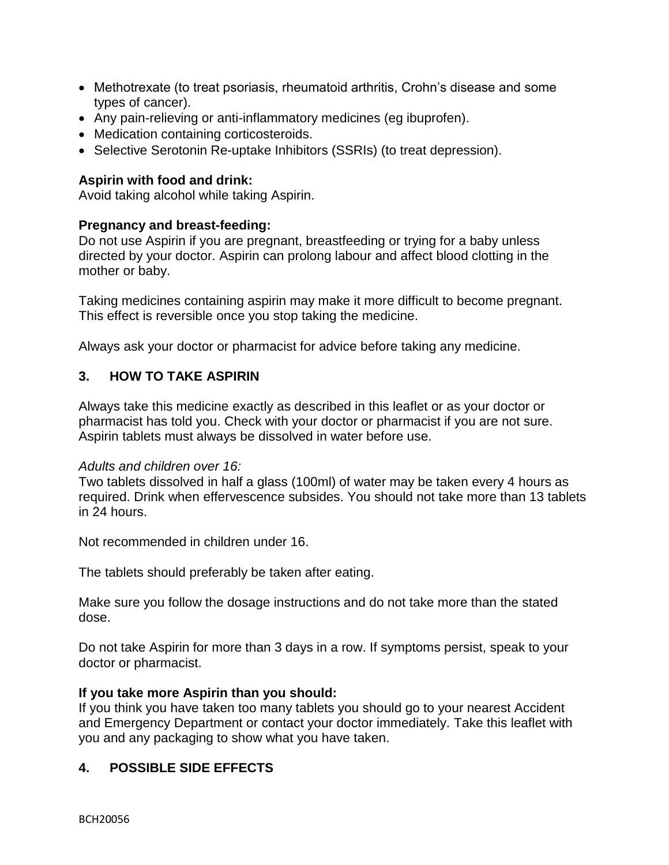- Methotrexate (to treat psoriasis, rheumatoid arthritis, Crohn's disease and some types of cancer).
- Any pain-relieving or anti-inflammatory medicines (eg ibuprofen).
- Medication containing corticosteroids.
- Selective Serotonin Re-uptake Inhibitors (SSRIs) (to treat depression).

## **Aspirin with food and drink:**

Avoid taking alcohol while taking Aspirin.

## **Pregnancy and breast-feeding:**

Do not use Aspirin if you are pregnant, breastfeeding or trying for a baby unless directed by your doctor. Aspirin can prolong labour and affect blood clotting in the mother or baby.

Taking medicines containing aspirin may make it more difficult to become pregnant. This effect is reversible once you stop taking the medicine.

Always ask your doctor or pharmacist for advice before taking any medicine.

## **3. HOW TO TAKE ASPIRIN**

Always take this medicine exactly as described in this leaflet or as your doctor or pharmacist has told you. Check with your doctor or pharmacist if you are not sure. Aspirin tablets must always be dissolved in water before use.

#### *Adults and children over 16:*

Two tablets dissolved in half a glass (100ml) of water may be taken every 4 hours as required. Drink when effervescence subsides. You should not take more than 13 tablets in 24 hours.

Not recommended in children under 16.

The tablets should preferably be taken after eating.

Make sure you follow the dosage instructions and do not take more than the stated dose.

Do not take Aspirin for more than 3 days in a row. If symptoms persist, speak to your doctor or pharmacist.

## **If you take more Aspirin than you should:**

If you think you have taken too many tablets you should go to your nearest Accident and Emergency Department or contact your doctor immediately. Take this leaflet with you and any packaging to show what you have taken.

# **4. POSSIBLE SIDE EFFECTS**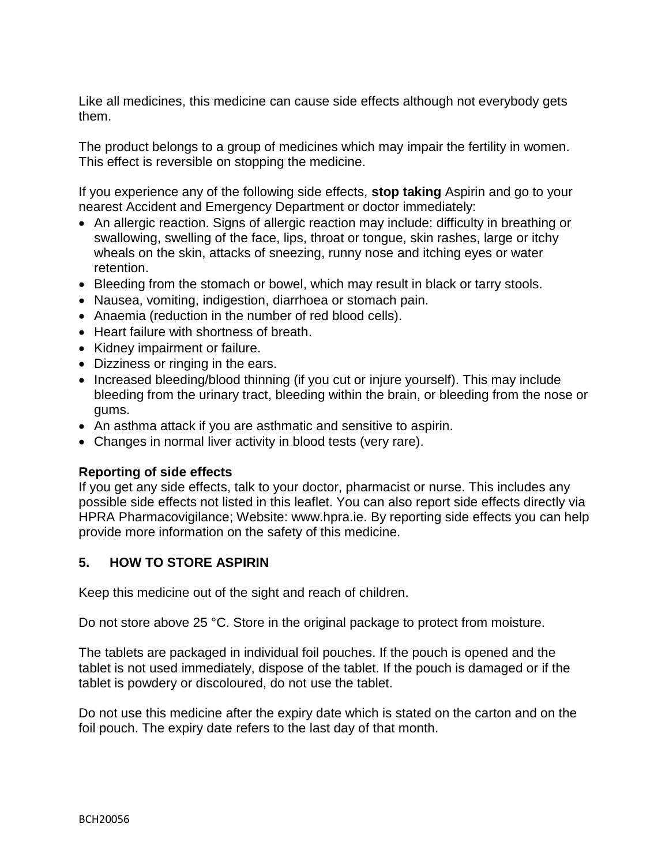Like all medicines, this medicine can cause side effects although not everybody gets them.

The product belongs to a group of medicines which may impair the fertility in women. This effect is reversible on stopping the medicine.

If you experience any of the following side effects, **stop taking** Aspirin and go to your nearest Accident and Emergency Department or doctor immediately:

- An allergic reaction. Signs of allergic reaction may include: difficulty in breathing or swallowing, swelling of the face, lips, throat or tongue, skin rashes, large or itchy wheals on the skin, attacks of sneezing, runny nose and itching eyes or water retention.
- Bleeding from the stomach or bowel, which may result in black or tarry stools.
- Nausea, vomiting, indigestion, diarrhoea or stomach pain.
- Anaemia (reduction in the number of red blood cells).
- Heart failure with shortness of breath.
- Kidney impairment or failure.
- Dizziness or ringing in the ears.
- Increased bleeding/blood thinning (if you cut or injure yourself). This may include bleeding from the urinary tract, bleeding within the brain, or bleeding from the nose or gums.
- An asthma attack if you are asthmatic and sensitive to aspirin.
- Changes in normal liver activity in blood tests (very rare).

## **Reporting of side effects**

If you get any side effects, talk to your doctor, pharmacist or nurse. This includes any possible side effects not listed in this leaflet. You can also report side effects directly via HPRA Pharmacovigilance; Website: www.hpra.ie. By reporting side effects you can help provide more information on the safety of this medicine.

# **5. HOW TO STORE ASPIRIN**

Keep this medicine out of the sight and reach of children.

Do not store above 25 °C. Store in the original package to protect from moisture.

The tablets are packaged in individual foil pouches. If the pouch is opened and the tablet is not used immediately, dispose of the tablet. If the pouch is damaged or if the tablet is powdery or discoloured, do not use the tablet.

Do not use this medicine after the expiry date which is stated on the carton and on the foil pouch. The expiry date refers to the last day of that month.